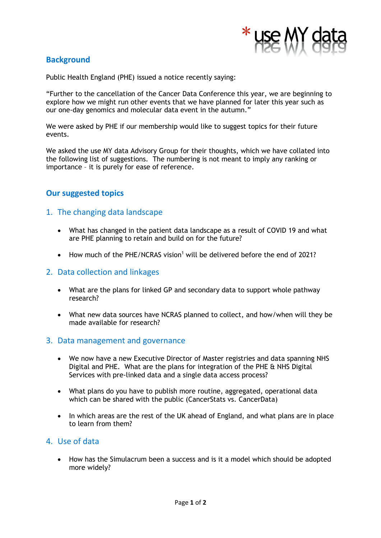

# **Background**

Public Health England (PHE) issued a notice recently saying:

"Further to the cancellation of the Cancer Data Conference this year, we are beginning to explore how we might run other events that we have planned for later this year such as our one-day genomics and molecular data event in the autumn."

We were asked by PHE if our membership would like to suggest topics for their future events.

We asked the use MY data Advisory Group for their thoughts, which we have collated into the following list of suggestions. The numbering is not meant to imply any ranking or importance – it is purely for ease of reference.

# **Our suggested topics**

#### 1. The changing data landscape

- What has changed in the patient data landscape as a result of COVID 19 and what are PHE planning to retain and build on for the future?
- How much of the PHE/NCRAS vision<sup>1</sup> will be delivered before the end of 2021?

#### 2. Data collection and linkages

- What are the plans for linked GP and secondary data to support whole pathway research?
- What new data sources have NCRAS planned to collect, and how/when will they be made available for research?

#### 3. Data management and governance

- We now have a new Executive Director of Master registries and data spanning NHS Digital and PHE. What are the plans for integration of the PHE & NHS Digital Services with pre-linked data and a single data access process?
- What plans do you have to publish more routine, aggregated, operational data which can be shared with the public (CancerStats vs. CancerData)
- In which areas are the rest of the UK ahead of England, and what plans are in place to learn from them?

#### 4. Use of data

• How has the Simulacrum been a success and is it a model which should be adopted more widely?